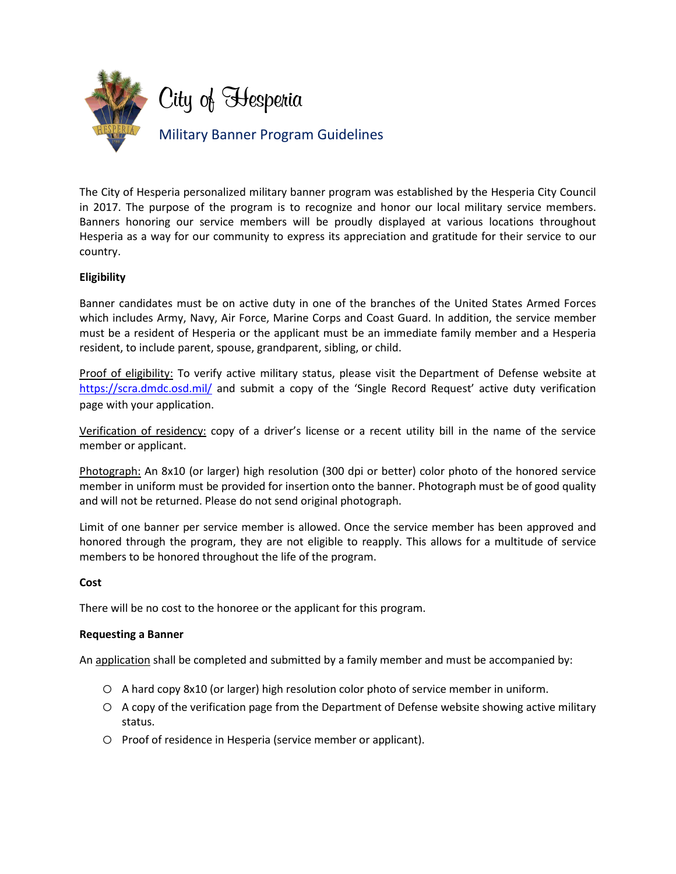

The City of Hesperia personalized military banner program was established by the Hesperia City Council in 2017. The purpose of the program is to recognize and honor our local military service members. Banners honoring our service members will be proudly displayed at various locations throughout Hesperia as a way for our community to express its appreciation and gratitude for their service to our country.

# **Eligibility**

Banner candidates must be on active duty in one of the branches of the United States Armed Forces which includes Army, Navy, Air Force, Marine Corps and Coast Guard. In addition, the service member must be a resident of Hesperia or the applicant must be an immediate family member and a Hesperia resident, to include parent, spouse, grandparent, sibling, or child.

Proof of eligibility: To verify active military status, please visit the [Department of Defense website](https://www.dmdc.osd.mil/appj/scra/welcome.xhtml) at <https://scra.dmdc.osd.mil/> and submit a copy of the 'Single Record Request' active duty verification page with your application.

Verification of residency: copy of a driver's license or a recent utility bill in the name of the service member or applicant.

Photograph: An 8x10 (or larger) high resolution (300 dpi or better) color photo of the honored service member in uniform must be provided for insertion onto the banner. Photograph must be of good quality and will not be returned. Please do not send original photograph.

Limit of one banner per service member is allowed. Once the service member has been approved and honored through the program, they are not eligible to reapply. This allows for a multitude of service members to be honored throughout the life of the program.

### **Cost**

There will be no cost to the honoree or the applicant for this program.

### **Requesting a Banner**

An application shall be completed and submitted by a family member and must be accompanied by:

- o A hard copy 8x10 (or larger) high resolution color photo of service member in uniform.
- o A copy of the verification page from the Department of Defense website showing active military status.
- o Proof of residence in Hesperia (service member or applicant).